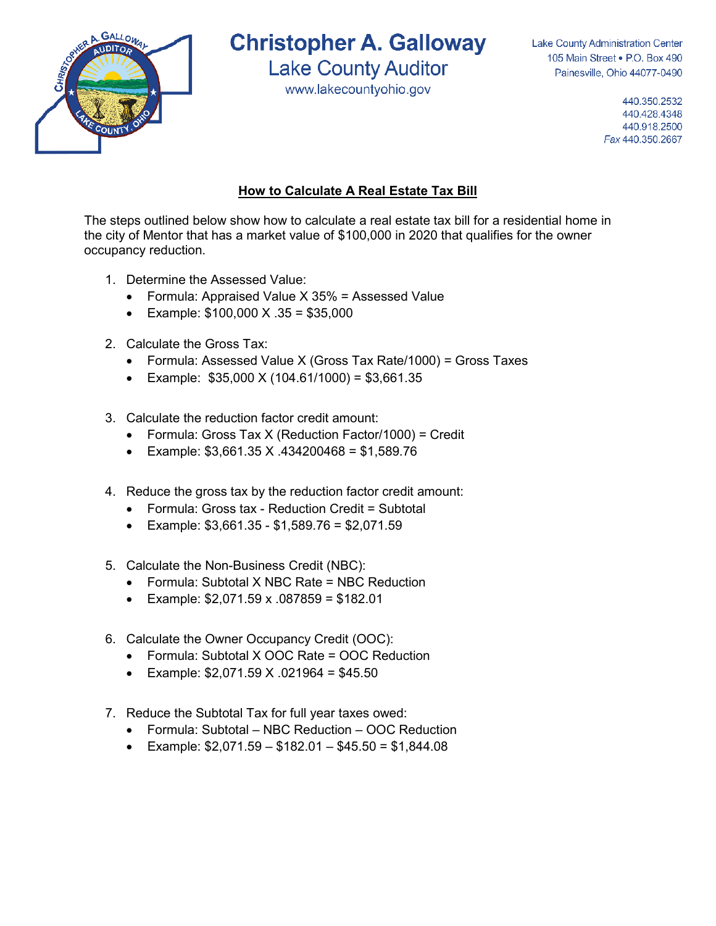

## **Christopher A. Galloway**

**Lake County Auditor** 

www.lakecountyohio.gov

**Lake County Administration Center** 105 Main Street . P.O. Box 490 Painesville, Ohio 44077-0490

> 440.350.2532 440.428.4348 440.918.2500 Fax 440.350.2667

## **How to Calculate A Real Estate Tax Bill**

The steps outlined below show how to calculate a real estate tax bill for a residential home in the city of Mentor that has a market value of \$100,000 in 2020 that qualifies for the owner occupancy reduction.

- 1. Determine the Assessed Value:
	- Formula: Appraised Value X 35% = Assessed Value
	- Example:  $$100,000 \times .35 = $35,000$
- 2. Calculate the Gross Tax:
	- Formula: Assessed Value X (Gross Tax Rate/1000) = Gross Taxes
	- Example:  $$35,000 \times (104.61/1000) = $3,661.35$
- 3. Calculate the reduction factor credit amount:
	- Formula: Gross Tax X (Reduction Factor/1000) = Credit
	- Example:  $$3,661.35$  X .434200468 = \$1,589.76
- 4. Reduce the gross tax by the reduction factor credit amount:
	- Formula: Gross tax Reduction Credit = Subtotal
	- Example:  $$3,661.35 $1,589.76 = $2,071.59$
- 5. Calculate the Non-Business Credit (NBC):
	- Formula: Subtotal X NBC Rate = NBC Reduction
	- Example:  $$2,071.59 \times .087859 = $182.01$
- 6. Calculate the Owner Occupancy Credit (OOC):
	- Formula: Subtotal X OOC Rate = OOC Reduction
	- Example:  $$2,071.59$  X .021964 = \$45.50
- 7. Reduce the Subtotal Tax for full year taxes owed:
	- Formula: Subtotal NBC Reduction OOC Reduction
	- Example:  $$2,071.59 $182.01 $45.50 = $1,844.08$